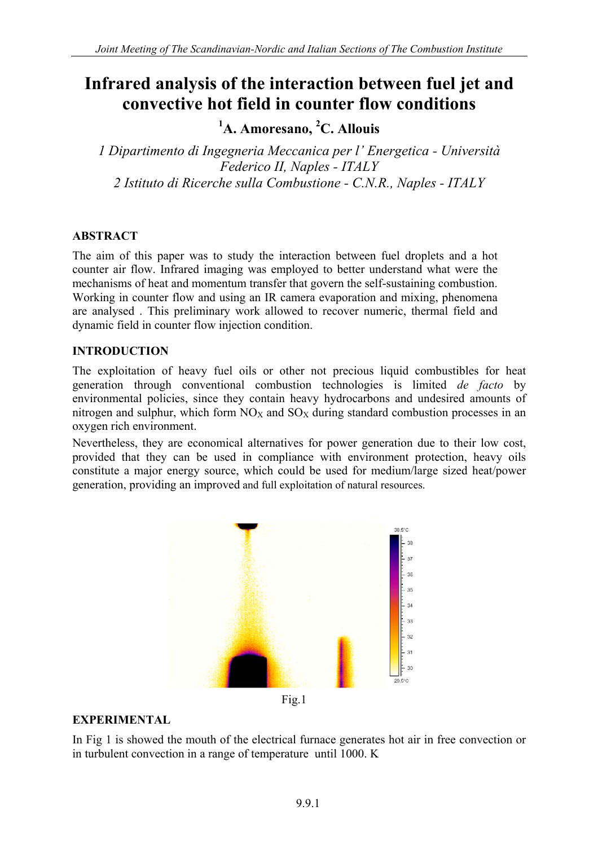# **Infrared analysis of the interaction between fuel jet and convective hot field in counter flow conditions**

**1 A. Amoresano, <sup>2</sup> C. Allouis** 

*1 Dipartimento di Ingegneria Meccanica per l' Energetica - Università Federico II, Naples - ITALY 2 Istituto di Ricerche sulla Combustione - C.N.R., Naples - ITALY* 

## **ABSTRACT**

The aim of this paper was to study the interaction between fuel droplets and a hot counter air flow. Infrared imaging was employed to better understand what were the mechanisms of heat and momentum transfer that govern the self-sustaining combustion. Working in counter flow and using an IR camera evaporation and mixing, phenomena are analysed . This preliminary work allowed to recover numeric, thermal field and dynamic field in counter flow injection condition.

### **INTRODUCTION**

The exploitation of heavy fuel oils or other not precious liquid combustibles for heat generation through conventional combustion technologies is limited *de facto* by environmental policies, since they contain heavy hydrocarbons and undesired amounts of nitrogen and sulphur, which form  $NO<sub>X</sub>$  and  $SO<sub>X</sub>$  during standard combustion processes in an oxygen rich environment.

Nevertheless, they are economical alternatives for power generation due to their low cost, provided that they can be used in compliance with environment protection, heavy oils constitute a major energy source, which could be used for medium/large sized heat/power generation, providing an improved and full exploitation of natural resources.



Fig.1

### **EXPERIMENTAL**

In Fig 1 is showed the mouth of the electrical furnace generates hot air in free convection or in turbulent convection in a range of temperature until 1000. K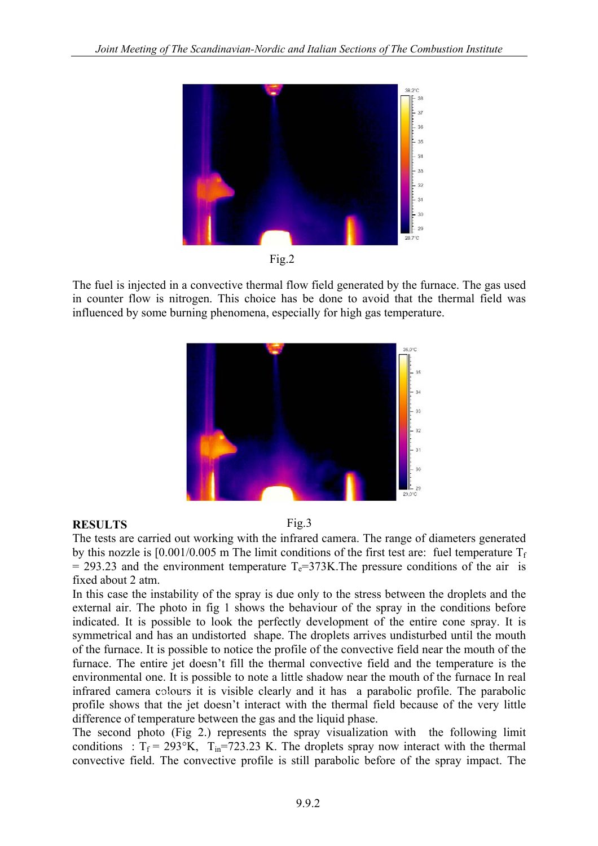

Fig.2

The fuel is injected in a convective thermal flow field generated by the furnace. The gas used in counter flow is nitrogen. This choice has be done to avoid that the thermal field was influenced by some burning phenomena, especially for high gas temperature.



### **RESULTS**

Fig.3

The tests are carried out working with the infrared camera. The range of diameters generated by this nozzle is  $[0.001/0.005 \text{ m}$  The limit conditions of the first test are: fuel temperature  $T_f$  $= 293.23$  and the environment temperature T<sub>e</sub>=373K. The pressure conditions of the air is fixed about 2 atm.

In this case the instability of the spray is due only to the stress between the droplets and the external air. The photo in fig 1 shows the behaviour of the spray in the conditions before indicated. It is possible to look the perfectly development of the entire cone spray. It is symmetrical and has an undistorted shape. The droplets arrives undisturbed until the mouth of the furnace. It is possible to notice the profile of the convective field near the mouth of the furnace. The entire jet doesn't fill the thermal convective field and the temperature is the environmental one. It is possible to note a little shadow near the mouth of the furnace In real infrared camera colours it is visible clearly and it has a parabolic profile. The parabolic profile shows that the jet doesn't interact with the thermal field because of the very little difference of temperature between the gas and the liquid phase.

The second photo (Fig 2.) represents the spray visualization with the following limit conditions :  $T_f = 293$ °K,  $T_{in} = 723.23$  K. The droplets spray now interact with the thermal convective field. The convective profile is still parabolic before of the spray impact. The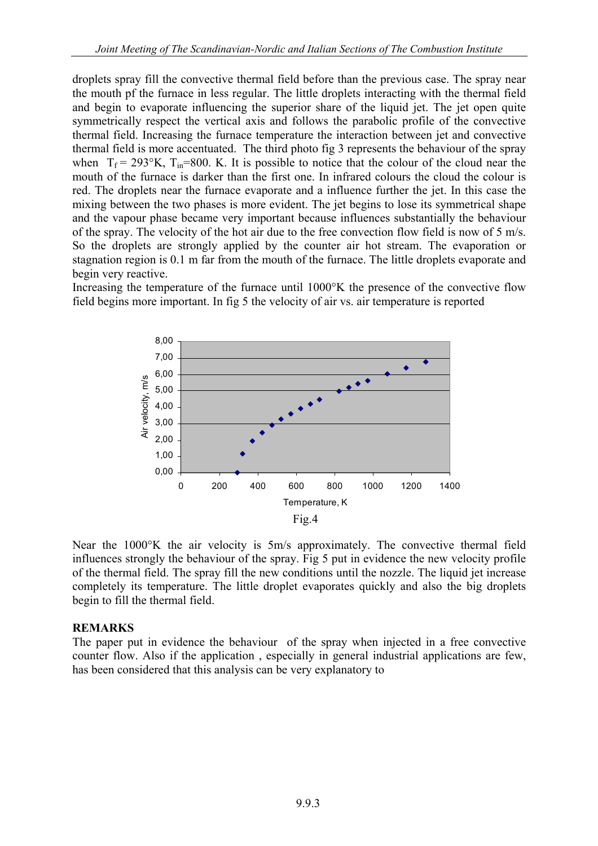droplets spray fill the convective thermal field before than the previous case. The spray near the mouth pf the furnace in less regular. The little droplets interacting with the thermal field and begin to evaporate influencing the superior share of the liquid jet. The jet open quite symmetrically respect the vertical axis and follows the parabolic profile of the convective thermal field. Increasing the furnace temperature the interaction between jet and convective thermal field is more accentuated. The third photo fig 3 represents the behaviour of the spray when  $T_f = 293$ °K,  $T_{in} = 800$ . K. It is possible to notice that the colour of the cloud near the mouth of the furnace is darker than the first one. In infrared colours the cloud the colour is red. The droplets near the furnace evaporate and a influence further the jet. In this case the mixing between the two phases is more evident. The jet begins to lose its symmetrical shape and the vapour phase became very important because influences substantially the behaviour of the spray. The velocity of the hot air due to the free convection flow field is now of 5 m/s. So the droplets are strongly applied by the counter air hot stream. The evaporation or stagnation region is 0.1 m far from the mouth of the furnace. The little droplets evaporate and begin very reactive.

Increasing the temperature of the furnace until 1000°K the presence of the convective flow field begins more important. In fig 5 the velocity of air vs. air temperature is reported



Near the 1000°K the air velocity is 5m/s approximately. The convective thermal field influences strongly the behaviour of the spray. Fig 5 put in evidence the new velocity profile of the thermal field. The spray fill the new conditions until the nozzle. The liquid jet increase completely its temperature. The little droplet evaporates quickly and also the big droplets begin to fill the thermal field.

### **REMARKS**

The paper put in evidence the behaviour of the spray when injected in a free convective counter flow. Also if the application , especially in general industrial applications are few, has been considered that this analysis can be very explanatory to